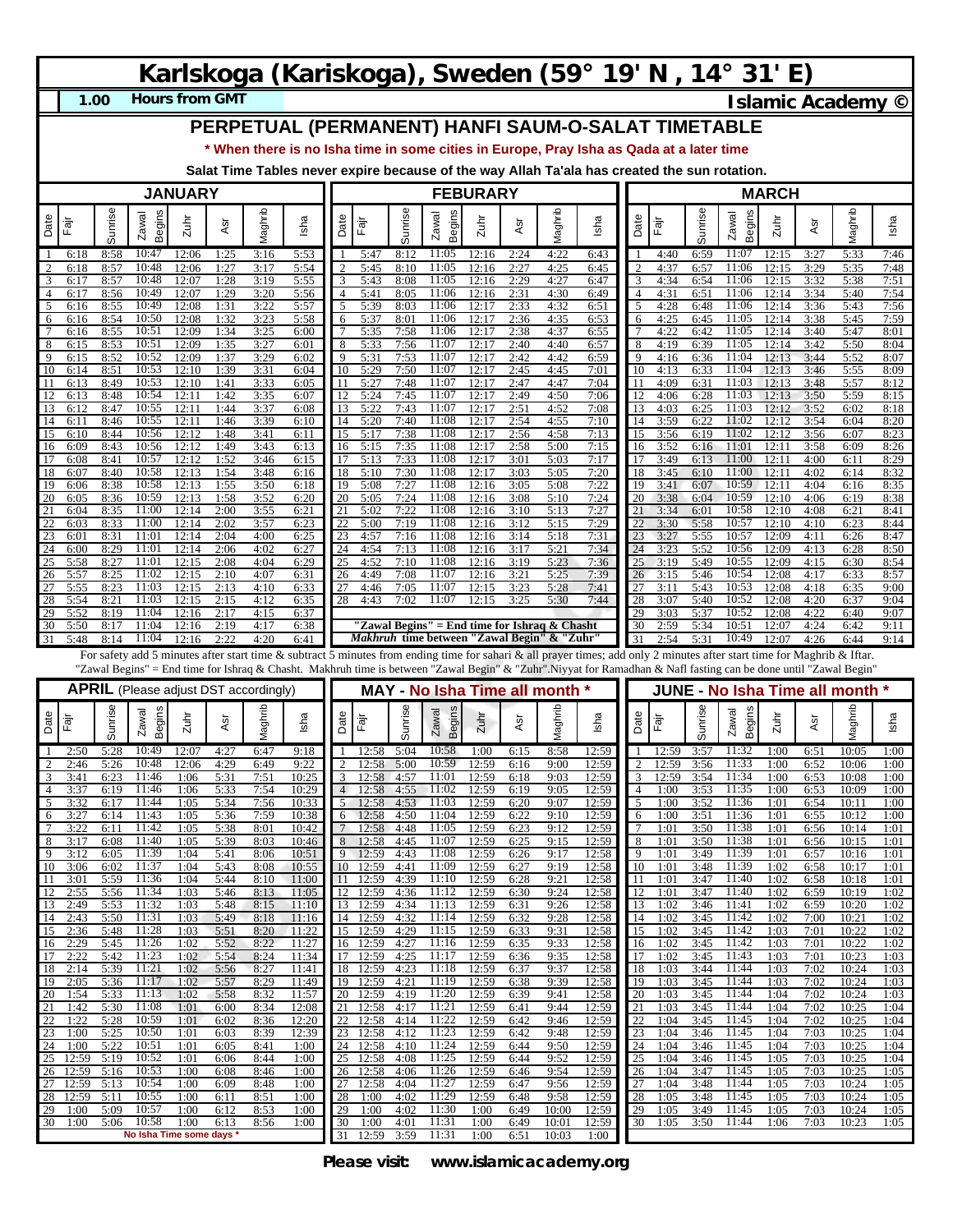# **Karlskoga (Kariskoga), Sweden (59° 19' N , 14° 31' E)**

**1.00**

**Hours from GMT Islamic Academy ©** 

### **PERPETUAL (PERMANENT) HANFI SAUM-O-SALAT TIMETABLE**

**\* When there is no Isha time in some cities in Europe, Pray Isha as Qada at a later time**

**Salat Time Tables never expire because of the way Allah Ta'ala has created the sun rotation.**

|                                  |                   |              |                                              | <b>JANUARY</b> |              |              |                |                |                       |                      | <b>FEBURARY</b>                               |                      |                      |                         |                                                                                                                                                                         |                     |                |              |                                        | <b>MARCH</b>   |              |                  |              |
|----------------------------------|-------------------|--------------|----------------------------------------------|----------------|--------------|--------------|----------------|----------------|-----------------------|----------------------|-----------------------------------------------|----------------------|----------------------|-------------------------|-------------------------------------------------------------------------------------------------------------------------------------------------------------------------|---------------------|----------------|--------------|----------------------------------------|----------------|--------------|------------------|--------------|
| Date                             | Fājī              | Sunrise      | Begins<br>Zawal                              | $2u$ hi        | Asr          | Maghrib      | Isha           | Date           | Fajr                  | Sunrise              | Begins<br>Zawal                               | Zuhi                 | ĀSr                  | Maghrib                 | Isha                                                                                                                                                                    | Date                | Fajr           | Sunrise      | <b>Begins</b><br>Zawal                 | Zuhr           | Asr          | Vlaghrib         | Isha         |
| -1<br>2                          | 6:18<br>6:18      | 8:58<br>8:57 | 10:47<br>10:48                               | 12:06<br>12:06 | 1:25<br>1:27 | 3:16<br>3:17 | 5:53<br>5:54   |                | 5:47<br>5:45          | 8:12<br>8:10         | 11:05<br>11:05                                | 12:16<br>12:16       | 2:24<br>2:27         | 4:22<br>4:25            | 6:43<br>6:45                                                                                                                                                            | 2                   | 4:40<br>4:37   | 6:59<br>6:57 | 11:07<br>11:06                         | 12:15<br>12:15 | 3:27<br>3:29 | 5:33<br>5:35     | 7:46<br>7:48 |
| 3                                | 6:17              | 8:57         | 10:48                                        | 12:07          | 1:28         | 3:19         | 5:55           |                | 5:43                  | 8:08                 | 11:05                                         | 12:16                | 2:29                 | 4:27                    | 6:47                                                                                                                                                                    | 3                   | 4:34           | 6:54         | 11:06                                  | 12:15          | 3:32         | 5:38             | 7:51         |
| $\overline{4}$<br>$\overline{5}$ | 6:17<br>6:16      | 8:56<br>8:55 | 10:49<br>10:49                               | 12:07<br>12:08 | 1:29<br>1:31 | 3:20<br>3:22 | 5:56<br>5:57   | 5              | 5:41<br>5:39          | 8:05<br>8:03         | 11:06<br>11:06                                | 12:16<br>12:17       | 2:31<br>2:33         | 4:30<br>4:32            | 6:49<br>6:51                                                                                                                                                            | $\overline{4}$<br>5 | 4:31<br>4:28   | 6:51<br>6:48 | 11:06<br>11:06                         | 12:14<br>12:14 | 3:34<br>3:36 | 5:40<br>5:43     | 7:54<br>7:56 |
| 6                                | 6:16              | 8:54         | 10:50                                        | 12:08          | 1:32         | 3:23         | 5:58           | 6              | 5:37                  | 8:01                 | 11:06                                         | 12:17                | 2:36                 | 4:35                    | 6:53                                                                                                                                                                    | 6                   | 4:25           | 6:45         | 11:05                                  | 12:14          | 3:38         | 5:45             | 7:59         |
| $7\phantom{.0}$<br>8             | 6:16<br>6:15      | 8:55<br>8:53 | 10:51<br>10:51                               | 12:09<br>12:09 | 1:34<br>1:35 | 3:25<br>3:27 | 6:00<br>6:01   | 8              | 5:35<br>5:33          | 7:58<br>7:56         | 11:06<br>11:07                                | 12:17<br>12:17       | 2:38<br>2:40         | 4:37<br>4:40            | 6:55<br>6:57                                                                                                                                                            | 8                   | 4:22<br>4:19   | 6:42<br>6:39 | 11:05<br>11:05                         | 12:14<br>12:14 | 3:40<br>3:42 | 5:47<br>5:50     | 8:01<br>8:04 |
| 9                                | 6:15              | 8:52         | 10:52                                        | 12:09          | 1:37         | 3:29         | 6:02           | 9              | 5:31                  | 7:53                 | 11:07                                         | 12:17                | 2:42                 | 4:42                    | 6:59                                                                                                                                                                    | 9                   | 4:16           | 6:36         | 11:04                                  | 12:13          | 3:44         | 5:52             | 8:07         |
| 10<br>11                         | 6:14<br>6:13      | 8:51<br>8:49 | 10:53<br>10:53                               | 12:10<br>12:10 | 1:39<br>1:41 | 3:31<br>3:33 | 6:04<br>6:05   | 10<br>11       | 5:29<br>5:27          | 7:50<br>7:48         | 11:07<br>11:07                                | 12:17<br>12:17       | 2:45<br>2:47         | 4:45<br>4:47            | 7:01<br>7:04                                                                                                                                                            | 10<br>11            | 4:13<br>4:09   | 6:33<br>6:31 | 11:04<br>11:03                         | 12:13<br>12:13 | 3:46<br>3:48 | 5:55<br>5:57     | 8:09<br>8:12 |
| 12                               | 6:13              | 8:48         | 10:54                                        | 12:11          | 1:42         | 3:35         | 6:07           |                | 5:24                  | 7:45                 | 11:07                                         | 12:17                | 2:49                 | 4:50                    | 7:06                                                                                                                                                                    | 12                  | 4:06           | 6:28         | 11:03                                  | 12:13          | 3:50         | 5:59             | 8:15         |
| 13<br>14                         | 6:12<br>6:11      | 8:47<br>8:46 | 10:55<br>10:55                               | 12:11<br>12:11 | 1:44<br>1:46 | 3:37<br>3:39 | 6:08<br>6:10   | 13<br>14       | 5:22<br>5:20          | 7:43<br>7:40         | 11:07<br>11:08                                | 12:17<br>12:17       | 2:51<br>2:54         | 4:52<br>4:55            | 7:08<br>7:10                                                                                                                                                            | 13<br>14            | 4:03<br>3:59   | 6:25<br>6:22 | 11:03<br>11:02                         | 12:12<br>12:12 | 3:52<br>3:54 | 6:02<br>6:04     | 8:18<br>8:20 |
| 15                               | 6:10              | 8:44         | 10:56                                        | 12:12          | 1:48         | 3:41         | 6:11           | 15             | 5:17                  | 7:38                 | 11:08                                         | 12:17                | 2:56                 | 4:58                    | 7:13                                                                                                                                                                    | 15                  | 3:56           | 6:19         | 11:02                                  | 12:12          | 3:56         | 6:07             | 8:23         |
| 16<br>17                         | 6:09<br>6:08      | 8:43<br>8:41 | 10:56<br>10:57                               | 12:12<br>12:12 | 1:49<br>1:52 | 3:43<br>3:46 | 6:13<br>6:15   | 16<br>17       | 5:15<br>5:13          | 7:35<br>7:33         | 11:08<br>11:08                                | 12:17<br>12:17       | 2:58<br>3:01         | 5:00<br>5:03            | 7:15<br>7:17                                                                                                                                                            | 16<br>17            | 3:52<br>3:49   | 6:16<br>6:13 | 11:01<br>11:00                         | 12:11<br>12:11 | 3:58<br>4:00 | 6:09<br>6:11     | 8:26<br>8:29 |
| 18                               | 6:07              | 8:40         | 10:58                                        | 12:13          | 1:54         | 3:48         | 6:16           | 18             | 5:10                  | 7:30                 | 11:08                                         | 12:17                | 3:03                 | 5:05                    | 7:20                                                                                                                                                                    | 18                  | 3:45           | 6:10         | 11:00                                  | 12:1           | 4:02         | 6:14             | 8:32         |
| 19<br>20                         | 6:06<br>6:05      | 8:38<br>8:36 | 10:58<br>10:59                               | 12:13<br>12:13 | 1:55<br>1:58 | 3:50<br>3:52 | 6:18<br>6:20   | 19<br>20       | 5:08<br>5:05          | 7:27<br>7:24         | 11:08<br>11:08                                | 12:16<br>12:16       | 3:05<br>3:08         | 5:08<br>5:10            | 7:22<br>7:24                                                                                                                                                            | 19<br>20            | 3:41<br>3:38   | 6:07<br>6:04 | 10:59<br>10:59                         | 12:11<br>12:10 | 4:04<br>4:06 | 6:16<br>6:19     | 8:35<br>8:38 |
| 21                               | 6:04              | 8:35         | 11:00                                        | 12:14          | 2:00         | 3:55         | 6:21           | 21             | 5:02                  | 7:22                 | 11:08                                         | 12:16                | 3:10                 | 5:13                    | 7:27                                                                                                                                                                    | 21                  | 3:34           | 6:01         | 10:58                                  | 12:10          | 4:08         | 6:21             | 8:41         |
| 22<br>23                         | 6:03<br>6:01      | 8:33<br>8:31 | 11:00<br>11:01                               | 12:14<br>12:14 | 2:02<br>2:04 | 3:57<br>4:00 | 6:23<br>6:25   | 22<br>23       | 5:00<br>4:57          | 7:19<br>7:16         | 11:08<br>11:08                                | 12:16<br>12:16       | 3:12<br>3:14         | 5:15<br>5:18            | 7:29<br>7:31                                                                                                                                                            | 22<br>23            | 3:30<br>3:27   | 5:58<br>5:55 | 10:57<br>10:57                         | 12:10<br>12:09 | 4:10<br>4:11 | 6:23<br>6:26     | 8:44<br>8:47 |
| 24                               | 6:00              | 8:29         | 11:01                                        | 12:14          | 2:06         | 4:02         | 6:27           | 24             | 4:54                  | 7:13                 | 11:08                                         | 12:16                | 3:17                 | 5:21                    | 7:34                                                                                                                                                                    | 24                  | 3:23           | 5:52         | 10:56                                  | 12:09          | 4:13         | 6:28             | 8:50         |
| 25<br>26                         | 5:58<br>5:57      | 8:27<br>8:25 | 11:01<br>11:02                               | 12:15<br>12:15 | 2:08<br>2:10 | 4:04<br>4:07 | 6:29<br>6:31   | 25<br>26       | 4:52<br>4:49          | 7:10<br>7:08         | 11:08<br>11:07                                | 12:16<br>12:16       | 3:19<br>3:21         | 5:23<br>5:25            | 7:36<br>7:39                                                                                                                                                            | 25<br>26            | 3:19<br>3:15   | 5:49<br>5:46 | 10:55<br>10:54                         | 12:09<br>12:08 | 4:15<br>4:17 | 6:30<br>6:33     | 8:54<br>8:57 |
| 27                               | 5:55              | 8:23         | 11:03                                        | 12:15          | 2:13         | 4:10         | 6:33           | 27             | 4:46                  | 7:05                 | 11:07                                         | 12:15                | 3:23                 | 5:28                    | 7:41                                                                                                                                                                    | 27                  | 3:11           | 5:43         | 10:53                                  | 12:08          | 4:18         | 6:35             | 9:00         |
| 28<br>29                         | 5:54<br>5:52      | 8:21<br>8:19 | 11:03<br>11:04                               | 12:15<br>12:16 | 2:15<br>2:17 | 4:12<br>4:15 | 6:35<br>6:37   | 28             | 4:43                  | 7:02                 | 11:07                                         | 12:15                | 3:25                 | 5:30                    | 7:44                                                                                                                                                                    | 28<br>29            | 3:07<br>3:03   | 5:40<br>5:37 | 10:52<br>10:52                         | 12:08<br>12:08 | 4:20<br>4:22 | 6:37<br>6:40     | 9:04<br>9:07 |
| 30                               | 5:50              | 8:17         | 11:04                                        | 12:16          | 2:19         | 4:17         | 6:38           |                |                       |                      | "Zawal Begins" = End time for Ishraq & Chasht |                      |                      |                         |                                                                                                                                                                         | 30                  | 2:59           | 5:34         | 10:51                                  | 12:07          | 4:24         | 6:42             | 9:11         |
| 31                               | 5:48              | 8:14         | 11:04                                        | 12:16          | 2:22         | 4:20         | 6:41           |                |                       |                      | Makhruh time between "Zawal Begin" & "Zuhr"   |                      |                      |                         |                                                                                                                                                                         | 31                  | 2:54           | 5:31         | 10:49                                  | 12:07          | 4:26         | 6:44             | 9:14         |
|                                  |                   |              |                                              |                |              |              |                |                |                       |                      |                                               |                      |                      |                         | For safety add 5 minutes after start time & subtract 5 minutes from ending time for sahari & all prayer times; add only 2 minutes after start time for Maghrib & Iftar. |                     |                |              |                                        |                |              |                  |              |
|                                  |                   |              |                                              |                |              |              |                |                |                       |                      |                                               |                      |                      |                         |                                                                                                                                                                         |                     |                |              |                                        |                |              |                  |              |
|                                  |                   |              |                                              |                |              |              |                |                |                       |                      |                                               |                      |                      |                         | "Zawal Begins" = End time for Ishraq & Chasht. Makhruh time is between "Zawal Begin" & "Zuhr".Niyyat for Ramadhan & Nafl fasting can be done until "Zawal Begin"        |                     |                |              |                                        |                |              |                  |              |
|                                  |                   |              | <b>APRIL</b> (Please adjust DST accordingly) |                |              |              |                |                |                       |                      | MAY - No Isha Time all month *                |                      |                      |                         |                                                                                                                                                                         |                     |                |              | <b>JUNE - No Isha Time all month *</b> |                |              |                  |              |
| Date                             | .<br>मैं          | Sunrise      | <b>Begins</b><br>Zawal                       | $2$ uhr        | ĀSr          | Maghrib      | Isha           | Date           | Fajr                  | unrise<br>ഗ          | Begins<br>Zawal                               | Zuhr                 | Asr                  | Maghrib                 | Isha                                                                                                                                                                    | Date                | Fajr           | Sunrise      | Begins<br>Zawal                        | Zuhr           | Asr          | Maghrib          | Isha         |
| -1                               | 2:50              | 5:28         | 10:49                                        | 12:07          | 4:27         | 6:47         | 9:18           |                | 12:58                 | 5:04                 | 10:58                                         | 1:00                 | 6:15                 | 8:58                    | 12:59                                                                                                                                                                   |                     | 12:59          | 3:57         | 11:32                                  | 1:00           | 6:51         | 10:05            | 1:00         |
| 2<br>3                           | 2:46<br>3:41      | 5:26<br>6:23 | 10:48<br>11:46                               | 12:06<br>1:06  | 4:29<br>5:31 | 6:49<br>7:51 | 9:22<br>10:25  | 3              | 12:58<br>12:58        | 5:00<br>4:57         | 10:59<br>11:01                                | 12:59<br>12:59       | 6:16<br>6:18         | 9:00<br>9:03            | 12:59<br>12:59                                                                                                                                                          | $\overline{2}$<br>3 | 12:59<br>12:59 | 3:56<br>3:54 | 11:33<br>11:34                         | 1:00<br>1:00   | 6:52<br>6:53 | 10:06<br>10:08   | 1:00<br>1:00 |
| 4                                | 3:37              | 6:19         | 11:46                                        | 1:06           | 5:33         | 7:54         | 10:29          | 4<br>5         | 12:58                 | 4:55                 | 11:02<br>11:03                                | 12:59                | 6:19                 | 9:05                    | 12:59                                                                                                                                                                   | $\overline{4}$      | 1:00           | 3:53         | 11:35                                  | 1:00           | 6:53         | 10:09            | 1:00         |
| 5<br>6                           | 3:32<br>3:27      | 6:17<br>6:14 | 11:44<br>11:43                               | 1:05<br>1:05   | 5:34<br>5:36 | 7:56<br>7:59 | 10:33<br>10:38 | 6              | 12:58<br>12:58        | 4:53<br>4:50         | 11:04                                         | 12:59<br>12:59       | 6:20<br>6:22         | 9:07<br>9:10            | 12:59<br>12:59                                                                                                                                                          | 5<br>6              | 1:00<br>1:00   | 3:52<br>3:51 | 11:36<br>11:36                         | 1:01<br>1:01   | 6:54<br>6:55 | 10:11<br>10:12   | 1:00<br>1:00 |
| $7\phantom{.0}$                  | 3:22              | 6:11         | 11:42<br>11:40                               | 1:05           | 5:38         | 8:01         | 10:42<br>10:46 | 8              | 12:58<br>12:58        | 4:48<br>4:45         | 11:05<br>11:07                                | 12:59<br>12:59       | 6:23<br>6:25         | 9:12                    | 12:59                                                                                                                                                                   | 7                   | 1:01<br>1:01   | 3:50         | 11:38<br>11:38                         | 1:01<br>1:01   | 6:56         | 10:14            | 1:01         |
| 8<br>9                           | 3:17<br>3:12      | 6:08<br>6:05 | 11:39                                        | 1:05<br>1:04   | 5:39<br>5:41 | 8:03<br>8:06 | 10:51          |                | 12:59                 | 4:43                 | 11:08                                         | 12:59                | 6:26                 | 9:15<br>9:17            | 12:59<br>12:58                                                                                                                                                          | 8<br>9              | 1:01           | 3:50<br>3:49 | 11:39                                  | 1:01           | 6:56<br>6:57 | 10:15<br>10:16   | 1:01<br>1:01 |
| 10<br>11                         | 3:06<br>3:01      | 6:02<br>5.59 | 11:37<br>11:36                               | 1:04<br>1.04   | 5:43<br>5.44 | 8:08<br>8.10 | 10:55<br>11:00 | 10<br>11       | 12:59<br>12.59        | 4:41<br>4.39         | 11:09<br>11:10                                | 12:59<br>12.59       | 6:27<br>6.28         | 9:19<br>9.21            | 12:58                                                                                                                                                                   | 10                  | 1:01<br>1.01   | 3:48<br>3.47 | 11:39<br>11:40                         | 1:02<br>1.02   | 6:58<br>6.58 | 10:17<br>$10-18$ | 1:01<br>1.01 |
| 12                               | 2:55              | 5:56         | 11:34                                        | 1:03           | 5:46         | 8:13         | 11:05          |                | 12 12:59              | 4:36                 | 11:12                                         | 12:59                | 6:30                 | 9:24                    | 12:58                                                                                                                                                                   | 12                  | 1:01           | 3:47         | 11:40                                  | 1:02           | 6:59         | 10:19            | 1:02         |
| 13<br>14                         | 2:49<br>2:43      | 5:53<br>5:50 | 11:32<br>11:31                               | 1:03<br>1:03   | 5:48<br>5:49 | 8:15<br>8:18 | 11:10<br>11:16 |                | 13 12:59<br>14 12:59  | 4:34<br>4:32         | 11:13<br>11:14                                | 12:59<br>12:59       | 6:31<br>6:32         | 9:26<br>9:28            | 12:58<br>12:58                                                                                                                                                          | 13<br>14            | 1:02<br>1:02   | 3:46<br>3:45 | 11:41<br>11:42                         | 1:02<br>1:02   | 6:59<br>7:00 | 10:20<br>10:21   | 1:02<br>1:02 |
| 15                               | 2:36              | 5:48         | 11:28                                        | 1:03           | 5:51         | 8:20         | 11:22          |                | 15 12:59              | 4:29                 | 11:15                                         | 12:59                | 6:33                 | 9:31                    | 12:58                                                                                                                                                                   | 15                  | 1:02           | 3:45         | 11:42                                  | 1:03           | 7:01         | 10:22            | 1:02         |
| 16                               | 2:29              | 5:45         | 11:26                                        | 1:02           | 5:52         | 8:22         | 11:27          |                | 16 12:59              | 4:27                 | 11:16                                         | 12:59                | 6:35                 | 9:33                    | 12:58                                                                                                                                                                   | 16                  | 1:02           | 3:45         | 11:42                                  | 1:03           | 7:01         | 10:22            | 1:02         |
| 17<br>18                         | 2:22<br>2:14      | 5:42<br>5:39 | 11:23<br>11:21                               | 1:02<br>1:02   | 5:54<br>5:56 | 8:24<br>8:27 | 11:34<br>11:41 |                | 17 12:59<br>18 12:59  | 4:25<br>4:23         | 11:17<br>11:18                                | 12:59<br>12:59       | 6:36<br>6:37         | 9:35<br>9:37            | 12:58<br>12:58                                                                                                                                                          | 17<br>18            | 1:02<br>1:03   | 3:45<br>3:44 | 11:43<br>11:44                         | 1:03<br>1:03   | 7:01<br>7:02 | 10:23<br>10:24   | 1:03<br>1:03 |
| 19                               | 2:05<br>1:54      | 5:36         | 11:17<br>11:13                               | 1:02           | 5:57         | 8:29         | 11:49<br>11:57 |                | 19 12:59              | 4:21<br>4:19         | 11:19<br>11:20                                | 12:59                | 6:38                 | 9:39<br>9:41            | 12:58                                                                                                                                                                   | 19<br>20            | 1:03<br>1:03   | 3:45         | 11:44<br>11:44                         | 1:03<br>1:04   | 7:02         | 10:24<br>10:24   | 1:03         |
| 20<br>21                         | 1:42              | 5:33<br>5:30 | 11:08                                        | 1:02<br>1:01   | 5:58<br>6:00 | 8:32<br>8:34 | 12:08          |                | 20 12:59<br>21 12:58  | 4:17                 | 11:21                                         | 12:59<br>12:59       | 6:39<br>6:41         | 9:44                    | 12:58<br>12:59                                                                                                                                                          | 21                  | 1:03           | 3:45<br>3:45 | 11:44                                  | 1:04           | 7:02<br>7.02 | 10:25            | 1:03<br>1:04 |
| 22                               | 1:22              | 5:28         | 10:59<br>10:50                               | 1:01           | 6:02         | 8:36         | 12:20          |                | 22 12:58              | 4:14                 | 11:22<br>11:23                                | 12:59                | 6:42                 | 9:46                    | 12:59                                                                                                                                                                   | 22                  | 1:04           | 3:45         | 11:45<br>11:45                         | 1:04           | 7:02         | 10:25            | 1:04         |
| 23<br>24                         | 1:00<br>1:00      | 5:25<br>5:22 | 10:51                                        | 1:01<br>1:01   | 6:03<br>6:05 | 8:39<br>8:41 | 12:39<br>1:00  |                | 23 12:58<br>24 12:58  | 4:12<br>4:10         | 11:24                                         | 12:59<br>12:59       | 6:42<br>6:44         | 9:48<br>9:50            | 12:59<br>12:59                                                                                                                                                          | 23<br>24            | 1:04<br>1:04   | 3:46<br>3:46 | 11:45                                  | 1:04<br>1:04   | 7:03<br>7:03 | 10:25<br>10:25   | 1:04<br>1:04 |
| 25                               | 12:59             | 5:19         | 10:52                                        | 1:01           | 6:06         | 8:44         | 1:00           |                | 25 12:58              | 4:08                 | 11:25                                         | 12:59                | 6:44                 | 9:52                    | 12:59                                                                                                                                                                   | 25                  | 1:04           | 3:46         | 11:45                                  | 1:05           | 7:03         | 10:25            | 1:04         |
| 27                               | 26 12:59<br>12:59 | 5:16<br>5:13 | 10:53<br>10:54                               | 1:00<br>1:00   | 6:08<br>6:09 | 8:46<br>8:48 | 1:00<br>1:00   | 27             | 26 12:58<br>12:58     | 4:06<br>4:04         | 11:26<br>11:27                                | 12:59<br>12:59       | 6:46<br>6:47         | 9:54<br>9:56            | 12:59<br>12:59                                                                                                                                                          | 26<br>27            | 1:04<br>1:04   | 3:47<br>3:48 | 11:45<br>11:44                         | 1:05<br>1:05   | 7:03<br>7:03 | 10:25<br>10:24   | 1:05<br>1:05 |
| 28                               | 12:59             | 5:11         | 10:55                                        | 1:00           | 6:11         | 8:51         | 1:00           | 28             | 1:00                  | 4:02                 | 11:29                                         | 12:59                | 6:48                 | 9:58                    | 12:59                                                                                                                                                                   | 28                  | 1:05           | 3:48         | 11:45                                  | 1:05           | 7:03         | 10:24            | 1:05         |
| 29<br>30 <sup>2</sup>            | 1:00<br>1:00      | 5:09<br>5:06 | 10:57<br>10:58<br>No Isha Time some days     | 1:00<br>1:00   | 6:12<br>6:13 | 8:53<br>8:56 | 1:00<br>1:00   | 29<br>30<br>31 | 1:00<br>1:00<br>12:59 | 4:02<br>4:01<br>3:59 | 11:30<br>11:31<br>11:31                       | 1:00<br>1:00<br>1:00 | 6:49<br>6:49<br>6:51 | 10:00<br>10:01<br>10:03 | 12:59<br>12:59<br>1:00                                                                                                                                                  | 29<br>30            | 1:05<br>1:05   | 3:49<br>3:50 | 11:45<br>11:44                         | 1:05<br>1:06   | 7:03<br>7:03 | 10:24<br>10:23   | 1:05<br>1:05 |

**Please visit: www.islamicacademy.org**